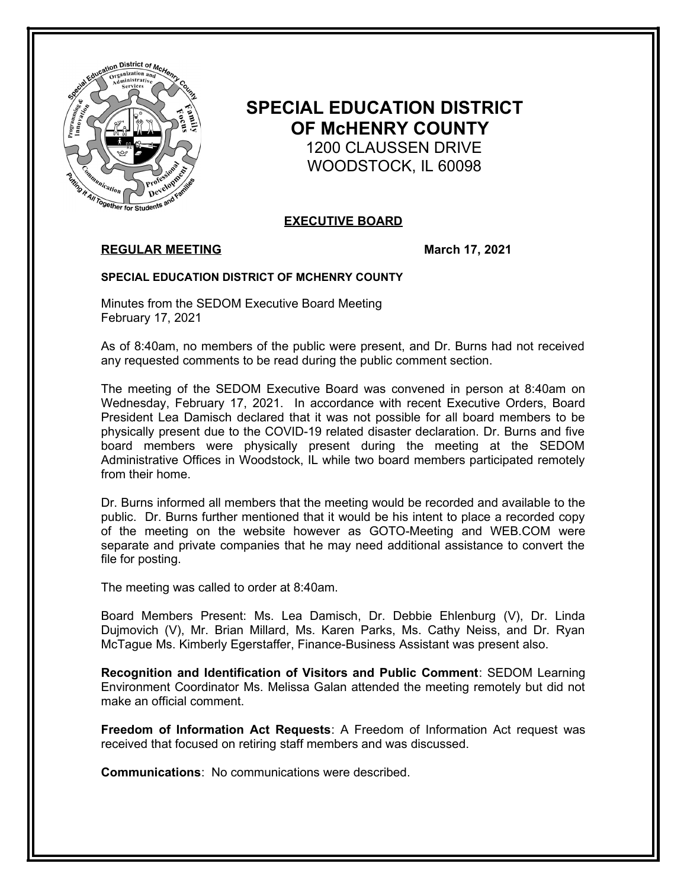

# **SPECIAL EDUCATION DISTRICT OF McHENRY COUNTY** 1200 CLAUSSEN DRIVE WOODSTOCK, IL 60098

## **EXECUTIVE BOARD**

## **REGULAR MEETING March 17, 2021**

### **SPECIAL EDUCATION DISTRICT OF MCHENRY COUNTY**

Minutes from the SEDOM Executive Board Meeting February 17, 2021

As of 8:40am, no members of the public were present, and Dr. Burns had not received any requested comments to be read during the public comment section.

The meeting of the SEDOM Executive Board was convened in person at 8:40am on Wednesday, February 17, 2021. In accordance with recent Executive Orders, Board President Lea Damisch declared that it was not possible for all board members to be physically present due to the COVID-19 related disaster declaration. Dr. Burns and five board members were physically present during the meeting at the SEDOM Administrative Offices in Woodstock, IL while two board members participated remotely from their home.

Dr. Burns informed all members that the meeting would be recorded and available to the public. Dr. Burns further mentioned that it would be his intent to place a recorded copy of the meeting on the website however as GOTO-Meeting and WEB.COM were separate and private companies that he may need additional assistance to convert the file for posting.

The meeting was called to order at 8:40am.

Board Members Present: Ms. Lea Damisch, Dr. Debbie Ehlenburg (V), Dr. Linda Dujmovich (V), Mr. Brian Millard, Ms. Karen Parks, Ms. Cathy Neiss, and Dr. Ryan McTague Ms. Kimberly Egerstaffer, Finance-Business Assistant was present also.

**Recognition and Identification of Visitors and Public Comment**: SEDOM Learning Environment Coordinator Ms. Melissa Galan attended the meeting remotely but did not make an official comment.

**Freedom of Information Act Requests**: A Freedom of Information Act request was received that focused on retiring staff members and was discussed.

**Communications**: No communications were described.